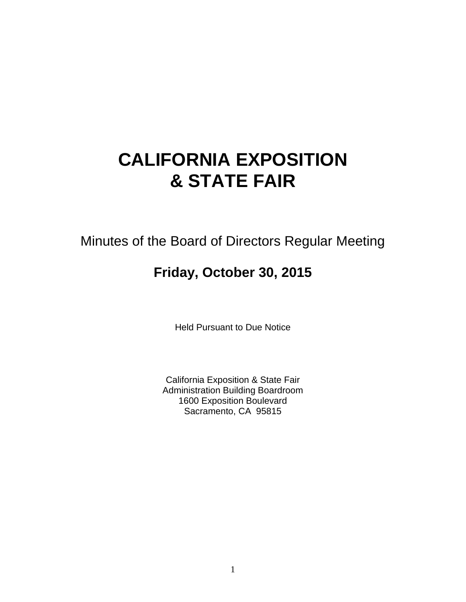# **CALIFORNIA EXPOSITION & STATE FAIR**

Minutes of the Board of Directors Regular Meeting

# **Friday, October 30, 2015**

Held Pursuant to Due Notice

California Exposition & State Fair Administration Building Boardroom 1600 Exposition Boulevard Sacramento, CA 95815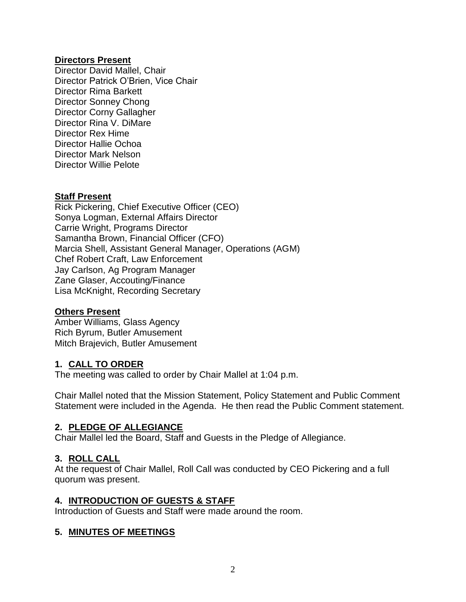#### **Directors Present**

Director David Mallel, Chair Director Patrick O'Brien, Vice Chair Director Rima Barkett Director Sonney Chong Director Corny Gallagher Director Rina V. DiMare Director Rex Hime Director Hallie Ochoa Director Mark Nelson Director Willie Pelote

#### **Staff Present**

Rick Pickering, Chief Executive Officer (CEO) Sonya Logman, External Affairs Director Carrie Wright, Programs Director Samantha Brown, Financial Officer (CFO) Marcia Shell, Assistant General Manager, Operations (AGM) Chef Robert Craft, Law Enforcement Jay Carlson, Ag Program Manager Zane Glaser, Accouting/Finance Lisa McKnight, Recording Secretary

#### **Others Present**

Amber Williams, Glass Agency Rich Byrum, Butler Amusement Mitch Brajevich, Butler Amusement

#### **1. CALL TO ORDER**

The meeting was called to order by Chair Mallel at 1:04 p.m.

Chair Mallel noted that the Mission Statement, Policy Statement and Public Comment Statement were included in the Agenda. He then read the Public Comment statement.

#### **2. PLEDGE OF ALLEGIANCE**

Chair Mallel led the Board, Staff and Guests in the Pledge of Allegiance.

# **3. ROLL CALL**

At the request of Chair Mallel, Roll Call was conducted by CEO Pickering and a full quorum was present.

#### **4. INTRODUCTION OF GUESTS & STAFF**

Introduction of Guests and Staff were made around the room.

# **5. MINUTES OF MEETINGS**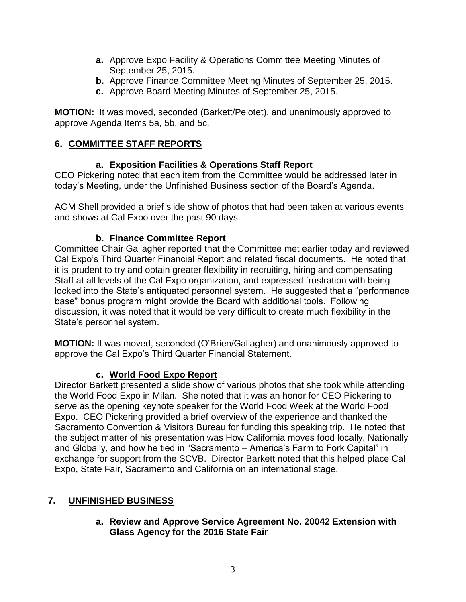- **a.** Approve Expo Facility & Operations Committee Meeting Minutes of September 25, 2015.
- **b.** Approve Finance Committee Meeting Minutes of September 25, 2015.
- **c.** Approve Board Meeting Minutes of September 25, 2015.

**MOTION:** It was moved, seconded (Barkett/Pelotet), and unanimously approved to approve Agenda Items 5a, 5b, and 5c.

# **6. COMMITTEE STAFF REPORTS**

# **a. Exposition Facilities & Operations Staff Report**

CEO Pickering noted that each item from the Committee would be addressed later in today's Meeting, under the Unfinished Business section of the Board's Agenda.

AGM Shell provided a brief slide show of photos that had been taken at various events and shows at Cal Expo over the past 90 days.

# **b. Finance Committee Report**

Committee Chair Gallagher reported that the Committee met earlier today and reviewed Cal Expo's Third Quarter Financial Report and related fiscal documents. He noted that it is prudent to try and obtain greater flexibility in recruiting, hiring and compensating Staff at all levels of the Cal Expo organization, and expressed frustration with being locked into the State's antiquated personnel system. He suggested that a "performance base" bonus program might provide the Board with additional tools. Following discussion, it was noted that it would be very difficult to create much flexibility in the State's personnel system.

**MOTION:** It was moved, seconded (O'Brien/Gallagher) and unanimously approved to approve the Cal Expo's Third Quarter Financial Statement.

# **c. World Food Expo Report**

Director Barkett presented a slide show of various photos that she took while attending the World Food Expo in Milan. She noted that it was an honor for CEO Pickering to serve as the opening keynote speaker for the World Food Week at the World Food Expo. CEO Pickering provided a brief overview of the experience and thanked the Sacramento Convention & Visitors Bureau for funding this speaking trip. He noted that the subject matter of his presentation was How California moves food locally, Nationally and Globally, and how he tied in "Sacramento – America's Farm to Fork Capital" in exchange for support from the SCVB. Director Barkett noted that this helped place Cal Expo, State Fair, Sacramento and California on an international stage.

# **7. UNFINISHED BUSINESS**

#### **a. Review and Approve Service Agreement No. 20042 Extension with Glass Agency for the 2016 State Fair**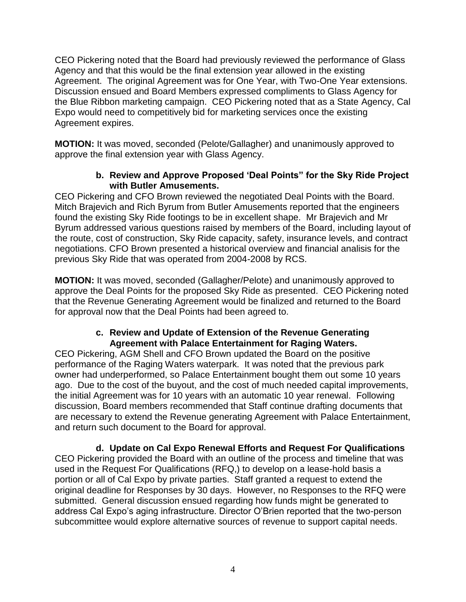CEO Pickering noted that the Board had previously reviewed the performance of Glass Agency and that this would be the final extension year allowed in the existing Agreement. The original Agreement was for One Year, with Two-One Year extensions. Discussion ensued and Board Members expressed compliments to Glass Agency for the Blue Ribbon marketing campaign. CEO Pickering noted that as a State Agency, Cal Expo would need to competitively bid for marketing services once the existing Agreement expires.

**MOTION:** It was moved, seconded (Pelote/Gallagher) and unanimously approved to approve the final extension year with Glass Agency.

#### **b. Review and Approve Proposed 'Deal Points" for the Sky Ride Project with Butler Amusements.**

CEO Pickering and CFO Brown reviewed the negotiated Deal Points with the Board. Mitch Brajevich and Rich Byrum from Butler Amusements reported that the engineers found the existing Sky Ride footings to be in excellent shape. Mr Brajevich and Mr Byrum addressed various questions raised by members of the Board, including layout of the route, cost of construction, Sky Ride capacity, safety, insurance levels, and contract negotiations. CFO Brown presented a historical overview and financial analisis for the previous Sky Ride that was operated from 2004-2008 by RCS.

**MOTION:** It was moved, seconded (Gallagher/Pelote) and unanimously approved to approve the Deal Points for the proposed Sky Ride as presented. CEO Pickering noted that the Revenue Generating Agreement would be finalized and returned to the Board for approval now that the Deal Points had been agreed to.

# **c. Review and Update of Extension of the Revenue Generating Agreement with Palace Entertainment for Raging Waters.**

CEO Pickering, AGM Shell and CFO Brown updated the Board on the positive performance of the Raging Waters waterpark. It was noted that the previous park owner had underperformed, so Palace Entertainment bought them out some 10 years ago. Due to the cost of the buyout, and the cost of much needed capital improvements, the initial Agreement was for 10 years with an automatic 10 year renewal. Following discussion, Board members recommended that Staff continue drafting documents that are necessary to extend the Revenue generating Agreement with Palace Entertainment, and return such document to the Board for approval.

**d. Update on Cal Expo Renewal Efforts and Request For Qualifications** CEO Pickering provided the Board with an outline of the process and timeline that was used in the Request For Qualifications (RFQ,) to develop on a lease-hold basis a portion or all of Cal Expo by private parties. Staff granted a request to extend the original deadline for Responses by 30 days. However, no Responses to the RFQ were submitted. General discussion ensued regarding how funds might be generated to address Cal Expo's aging infrastructure. Director O'Brien reported that the two-person subcommittee would explore alternative sources of revenue to support capital needs.